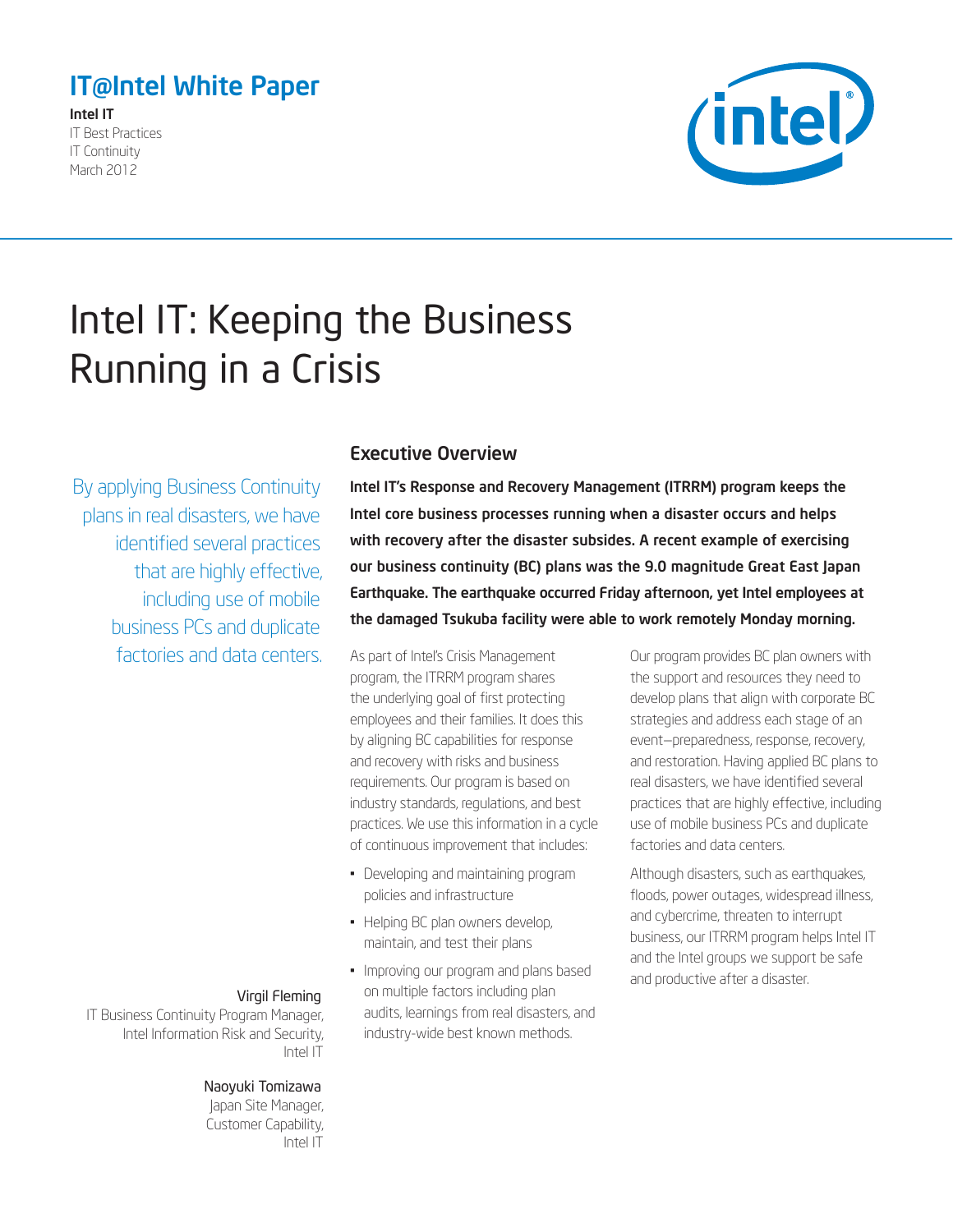# <span id="page-0-0"></span>IT@Intel White Paper

Intel IT IT Best Practices IT Continuity March 2012



# Intel IT: Keeping the Business Running in a Crisis

By applying Business Continuity plans in real disasters, we have identified several practices that are highly effective, including use of mobile business PCs and duplicate factories and data centers.

### Executive Overview

Intel IT's Response and Recovery Management (ITRRM) program keeps the Intel core business processes running when a disaster occurs and helps with recovery after the disaster subsides. A recent example of exercising our business continuity (BC) plans was the 9.0 magnitude Great East Japan Earthquake. The earthquake occurred Friday afternoon, yet Intel employees at the damaged Tsukuba facility were able to work remotely Monday morning.

As part of Intel's Crisis Management program, the ITRRM program shares the underlying goal of first protecting employees and their families. It does this by aligning BC capabilities for response and recovery with risks and business requirements. Our program is based on industry standards, regulations, and best practices. We use this information in a cycle of continuous improvement that includes:

- Developing and maintaining program policies and infrastructure
- Helping BC plan owners develop, maintain, and test their plans
- • Improving our program and plans based on multiple factors including plan audits, learnings from real disasters, and industry-wide best known methods.

Our program provides BC plan owners with the support and resources they need to develop plans that align with corporate BC strategies and address each stage of an event—preparedness, response, recovery, and restoration. Having applied BC plans to real disasters, we have identified several practices that are highly effective, including use of mobile business PCs and duplicate factories and data centers.

Although disasters, such as earthquakes, floods, power outages, widespread illness, and cybercrime, threaten to interrupt business, our ITRRM program helps Intel IT and the Intel groups we support be safe and productive after a disaster.

### Virgil Fleming

IT Business Continuity Program Manager, Intel Information Risk and Security, Intel IT

### Naoyuki Tomizawa

Japan Site Manager, Customer Capability, Intel IT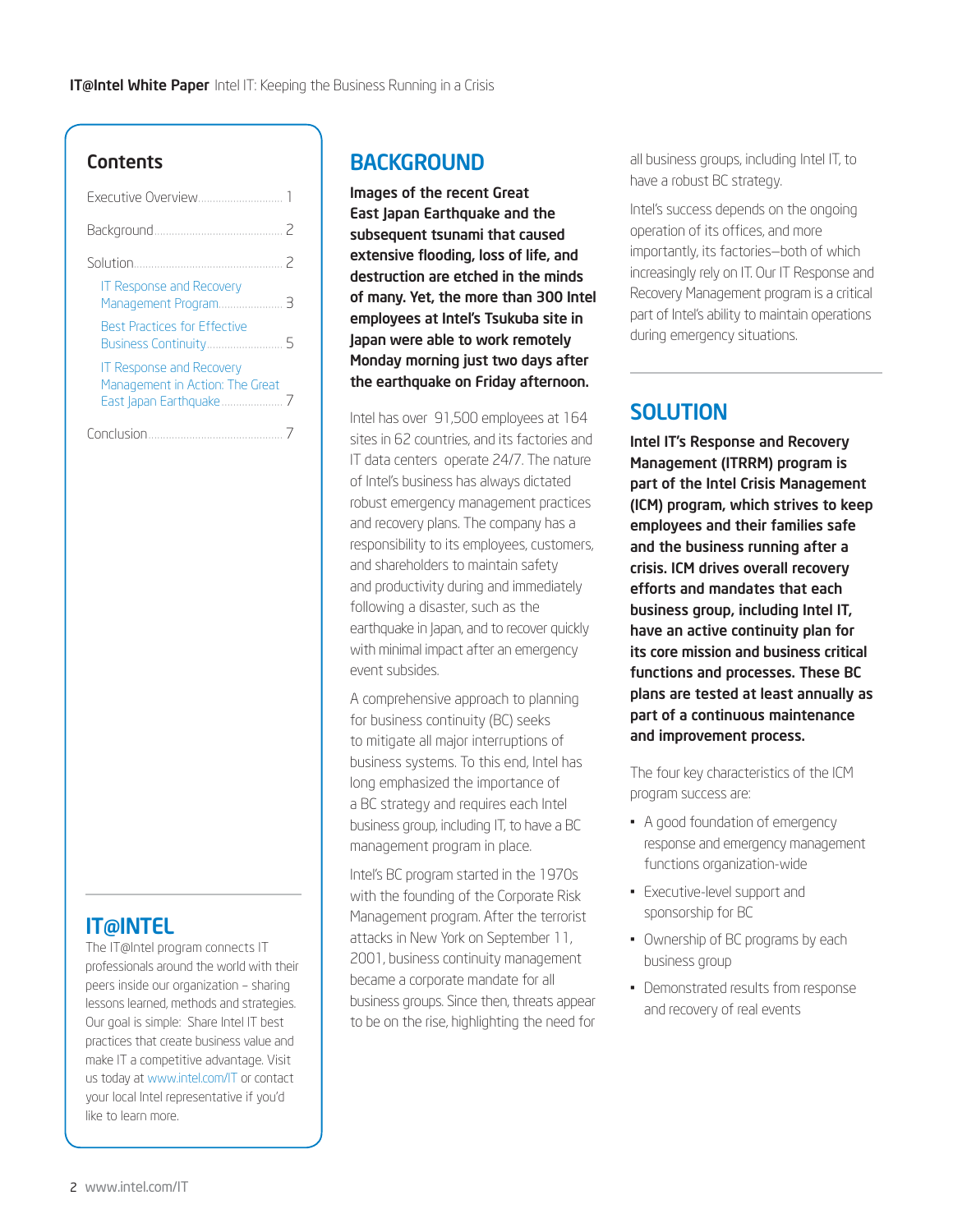### Contents

| Executive Overview                                                 |
|--------------------------------------------------------------------|
|                                                                    |
| Ζ                                                                  |
| <b>IT Response and Recovery</b>                                    |
| <b>Best Practices for Effective</b>                                |
| <b>IT Response and Recovery</b><br>Management in Action: The Great |
|                                                                    |

# IT@INTEL

The IT@Intel program connects IT professionals around the world with their peers inside our organization – sharing lessons learned, methods and strategies. Our goal is simple: Share Intel IT best practices that create business value and make IT a competitive advantage. Visit us today at [www.intel.com/IT](http://www.intel.com/IT) or contact your local Intel representative if you'd like to learn more.

# **BACKGROUND**

Images of the recent Great East Japan Earthquake and the subsequent tsunami that caused extensive flooding, loss of life, and destruction are etched in the minds of many. Yet, the more than 300 Intel employees at Intel's Tsukuba site in Japan were able to work remotely Monday morning just two days after the earthquake on Friday afternoon.

Intel has over 91,500 employees at 164 sites in 62 countries, and its factories and IT data centers operate 24/7. The nature of Intel's business has always dictated robust emergency management practices and recovery plans. The company has a responsibility to its employees, customers, and shareholders to maintain safety and productivity during and immediately following a disaster, such as the earthquake in Japan, and to recover quickly with minimal impact after an emergency event subsides.

A comprehensive approach to planning for business continuity (BC) seeks to mitigate all major interruptions of business systems. To this end, Intel has long emphasized the importance of a BC strategy and requires each Intel business group, including IT, to have a BC management program in place.

Intel's BC program started in the 1970s with the founding of the Corporate Risk Management program. After the terrorist attacks in New York on September 11, 2001, business continuity management became a corporate mandate for all business groups. Since then, threats appear to be on the rise, highlighting the need for all business groups, including Intel IT, to have a robust BC strategy.

Intel's success depends on the ongoing operation of its offices, and more importantly, its factories—both of which increasingly rely on IT. Our IT Response and Recovery Management program is a critical part of Intel's ability to maintain operations during emergency situations.

# **SOLUTION**

Intel IT's Response and Recovery Management (ITRRM) program is part of the Intel Crisis Management (ICM) program, which strives to keep employees and their families safe and the business running after a crisis. ICM drives overall recovery efforts and mandates that each business group, including Intel IT, have an active continuity plan for its core mission and business critical functions and processes. These BC plans are tested at least annually as part of a continuous maintenance and improvement process.

The four key characteristics of the ICM program success are:

- • A good foundation of emergency response and emergency management functions organization-wide
- • Executive-level support and sponsorship for BC
- • Ownership of BC programs by each business group
- Demonstrated results from response and recovery of real events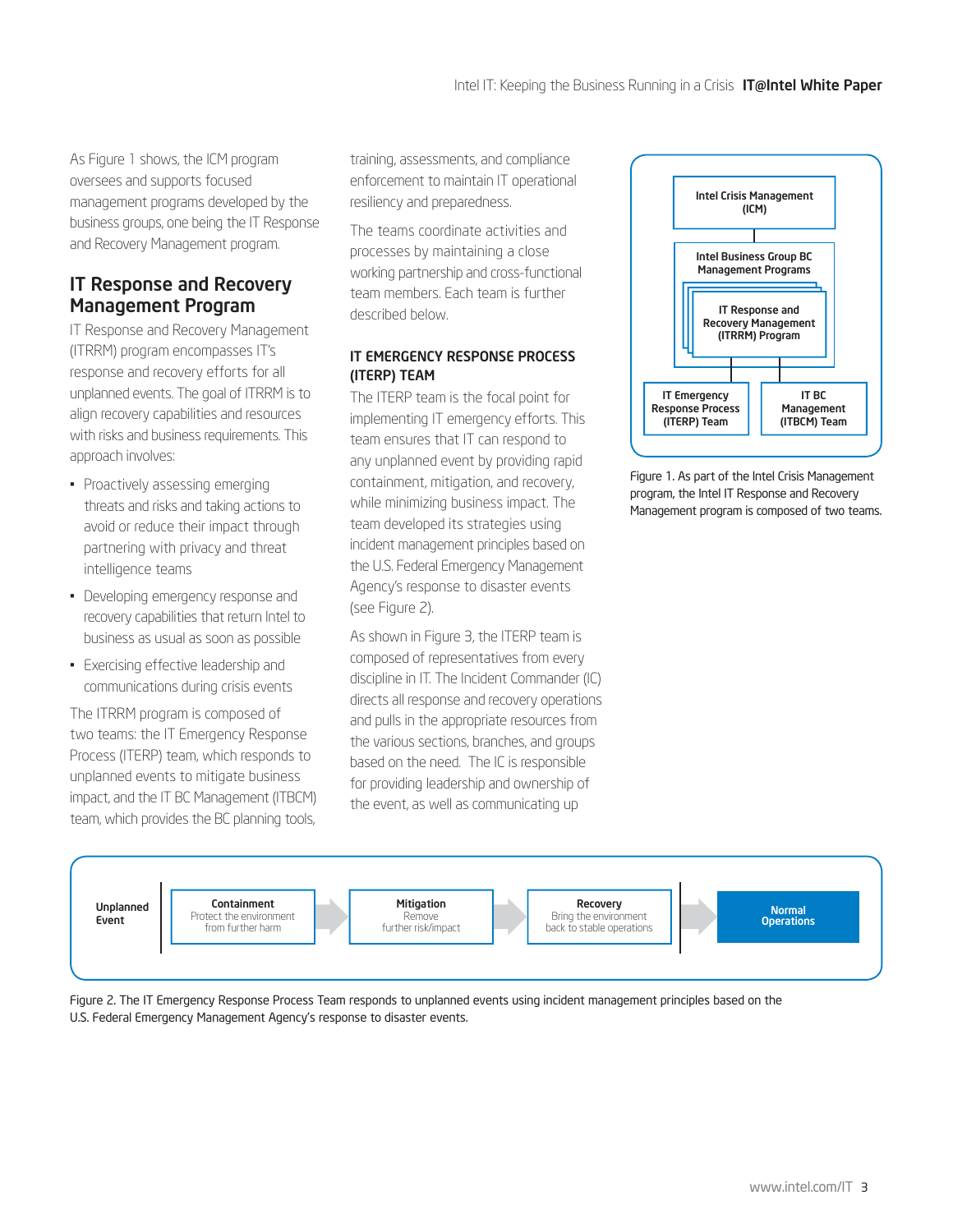<span id="page-2-0"></span>As Figure 1 shows, the ICM program oversees and supports focused management programs developed by the business groups, one being the IT Response and Recovery Management program.

## IT Response and Recovery Management Program

IT Response and Recovery Management (ITRRM) program encompasses IT's response and recovery efforts for all unplanned events. The goal of ITRRM is to align recovery capabilities and resources with risks and business requirements. This approach involves:

- Proactively assessing emerging threats and risks and taking actions to avoid or reduce their impact through partnering with privacy and threat intelligence teams
- Developing emergency response and recovery capabilities that return Intel to business as usual as soon as possible
- • Exercising effective leadership and communications during crisis events

The ITRRM program is composed of two teams: the IT Emergency Response Process (ITERP) team, which responds to unplanned events to mitigate business impact, and the IT BC Management (ITBCM) team, which provides the BC planning tools, training, assessments, and compliance enforcement to maintain IT operational resiliency and preparedness.

The teams coordinate activities and processes by maintaining a close working partnership and cross-functional team members. Each team is further described below.

### IT EMERGENCY RESPONSE PROCESS (ITERP) TEAM

The ITERP team is the focal point for implementing IT emergency efforts. This team ensures that IT can respond to any unplanned event by providing rapid containment, mitigation, and recovery, while minimizing business impact. The team developed its strategies using incident management principles based on the U.S. Federal Emergency Management Agency's response to disaster events (see Figure 2).

As shown in Figure 3, the ITERP team is composed of representatives from every discipline in IT. The Incident Commander (IC) directs all response and recovery operations and pulls in the appropriate resources from the various sections, branches, and groups based on the need. The IC is responsible for providing leadership and ownership of the event, as well as communicating up



Figure 1. As part of the Intel Crisis Management program, the Intel IT Response and Recovery Management program is composed of two teams.



Figure 2. The IT Emergency Response Process Team responds to unplanned events using incident management principles based on the U.S. Federal Emergency Management Agency's response to disaster events.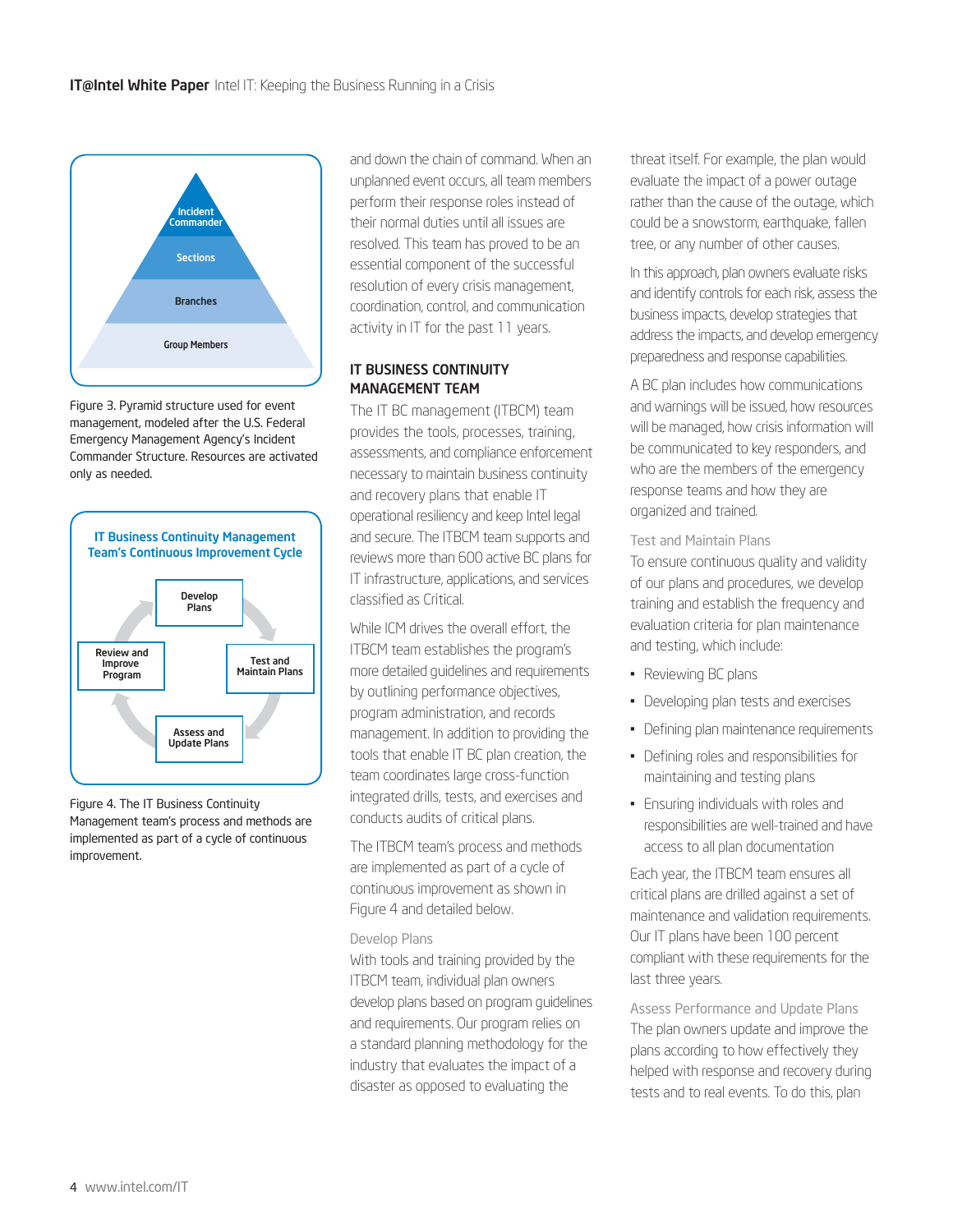

Figure 3. Pyramid structure used for event management, modeled after the U.S. Federal Emergency Management Agency's Incident Commander Structure. Resources are activated only as needed.



Figure 4. The IT Business Continuity Management team's process and methods are implemented as part of a cycle of continuous improvement.

and down the chain of command. When an unplanned event occurs, all team members perform their response roles instead of their normal duties until all issues are resolved. This team has proved to be an essential component of the successful resolution of every crisis management, coordination, control, and communication activity in IT for the past 11 years.

#### IT BUSINESS CONTINUITY MANAGEMENT TEAM

The IT BC management (ITBCM) team provides the tools, processes, training, assessments, and compliance enforcement necessary to maintain business continuity and recovery plans that enable IT operational resiliency and keep Intel legal and secure. The ITBCM team supports and reviews more than 600 active BC plans for IT infrastructure, applications, and services classified as Critical.

While ICM drives the overall effort, the ITBCM team establishes the program's more detailed guidelines and requirements by outlining performance objectives, program administration, and records management. In addition to providing the tools that enable IT BC plan creation, the team coordinates large cross-function integrated drills, tests, and exercises and conducts audits of critical plans.

The ITBCM team's process and methods are implemented as part of a cycle of continuous improvement as shown in Figure 4 and detailed below.

#### Develop Plans

With tools and training provided by the ITBCM team, individual plan owners develop plans based on program guidelines and requirements. Our program relies on a standard planning methodology for the industry that evaluates the impact of a disaster as opposed to evaluating the

threat itself. For example, the plan would evaluate the impact of a power outage rather than the cause of the outage, which could be a snowstorm, earthquake, fallen tree, or any number of other causes.

In this approach, plan owners evaluate risks and identify controls for each risk, assess the business impacts, develop strategies that address the impacts, and develop emergency preparedness and response capabilities.

A BC plan includes how communications and warnings will be issued, how resources will be managed, how crisis information will be communicated to key responders, and who are the members of the emergency response teams and how they are organized and trained.

#### Test and Maintain Plans

To ensure continuous quality and validity of our plans and procedures, we develop training and establish the frequency and evaluation criteria for plan maintenance and testing, which include:

- Reviewing BC plans
- Developing plan tests and exercises
- Defining plan maintenance requirements
- • Defining roles and responsibilities for maintaining and testing plans
- • Ensuring individuals with roles and responsibilities are well-trained and have access to all plan documentation

Each year, the ITBCM team ensures all critical plans are drilled against a set of maintenance and validation requirements. Our IT plans have been 100 percent compliant with these requirements for the last three years.

Assess Performance and Update Plans The plan owners update and improve the plans according to how effectively they helped with response and recovery during tests and to real events. To do this, plan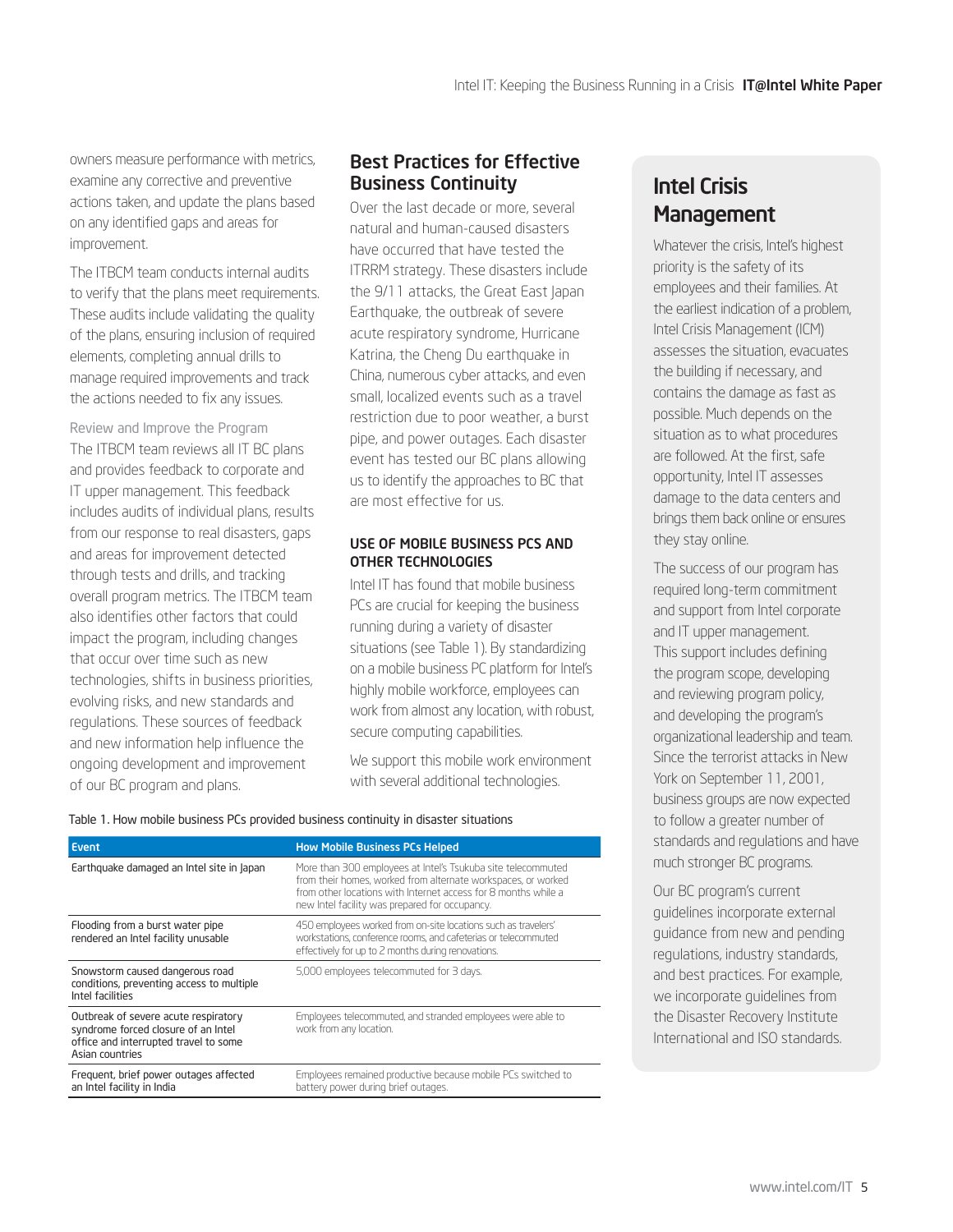<span id="page-4-0"></span>owners measure performance with metrics, examine any corrective and preventive actions taken, and update the plans based on any identified gaps and areas for improvement.

The ITBCM team conducts internal audits to verify that the plans meet requirements. These audits include validating the quality of the plans, ensuring inclusion of required elements, completing annual drills to manage required improvements and track the actions needed to fix any issues.

Review and Improve the Program The ITBCM team reviews all IT BC plans and provides feedback to corporate and IT upper management. This feedback includes audits of individual plans, results from our response to real disasters, gaps and areas for improvement detected through tests and drills, and tracking overall program metrics. The ITBCM team also identifies other factors that could impact the program, including changes that occur over time such as new technologies, shifts in business priorities, evolving risks, and new standards and regulations. These sources of feedback and new information help influence the ongoing development and improvement of our BC program and plans.

# Best Practices for Effective Business Continuity

Over the last decade or more, several natural and human-caused disasters have occurred that have tested the ITRRM strategy. These disasters include the 9/11 attacks, the Great East Japan Earthquake, the outbreak of severe acute respiratory syndrome, Hurricane Katrina, the Cheng Du earthquake in China, numerous cyber attacks, and even small, localized events such as a travel restriction due to poor weather, a burst pipe, and power outages. Each disaster event has tested our BC plans allowing us to identify the approaches to BC that are most effective for us.

#### USE OF MOBILE BUSINESS PCS AND OTHER TECHNOLOGIES

Intel IT has found that mobile business PCs are crucial for keeping the business running during a variety of disaster situations (see Table 1). By standardizing on a mobile business PC platform for Intel's highly mobile workforce, employees can work from almost any location, with robust, secure computing capabilities.

We support this mobile work environment with several additional technologies.

| Event                                                                                                                                   | <b>How Mobile Business PCs Helped</b>                                                                                                                                                                                                             |
|-----------------------------------------------------------------------------------------------------------------------------------------|---------------------------------------------------------------------------------------------------------------------------------------------------------------------------------------------------------------------------------------------------|
| Earthquake damaged an Intel site in Japan                                                                                               | More than 300 employees at Intel's Tsukuba site telecommuted<br>from their homes, worked from alternate workspaces, or worked<br>from other locations with Internet access for 8 months while a<br>new Intel facility was prepared for occupancy. |
| Flooding from a burst water pipe<br>rendered an Intel facility unusable                                                                 | 450 employees worked from on-site locations such as travelers'<br>workstations, conference rooms, and cafeterias or telecommuted<br>effectively for up to 2 months during renovations.                                                            |
| Snowstorm caused dangerous road<br>conditions, preventing access to multiple<br>Intel facilities                                        | 5,000 employees telecommuted for 3 days.                                                                                                                                                                                                          |
| Outbreak of severe acute respiratory<br>syndrome forced closure of an Intel<br>office and interrupted travel to some<br>Asian countries | Employees telecommuted, and stranded employees were able to<br>work from any location.                                                                                                                                                            |
| Frequent, brief power outages affected<br>an Intel facility in India                                                                    | Employees remained productive because mobile PCs switched to<br>battery power during brief outages.                                                                                                                                               |

#### Table 1. How mobile business PCs provided business continuity in disaster situations

# Intel Crisis **Management**

Whatever the crisis, Intel's highest priority is the safety of its employees and their families. At the earliest indication of a problem, Intel Crisis Management (ICM) assesses the situation, evacuates the building if necessary, and contains the damage as fast as possible. Much depends on the situation as to what procedures are followed. At the first, safe opportunity, Intel IT assesses damage to the data centers and brings them back online or ensures they stay online.

The success of our program has required long-term commitment and support from Intel corporate and IT upper management. This support includes defining the program scope, developing and reviewing program policy, and developing the program's organizational leadership and team. Since the terrorist attacks in New York on September 11, 2001, business groups are now expected to follow a greater number of standards and regulations and have much stronger BC programs.

Our BC program's current guidelines incorporate external guidance from new and pending regulations, industry standards, and best practices. For example, we incorporate guidelines from the Disaster Recovery Institute International and ISO standards.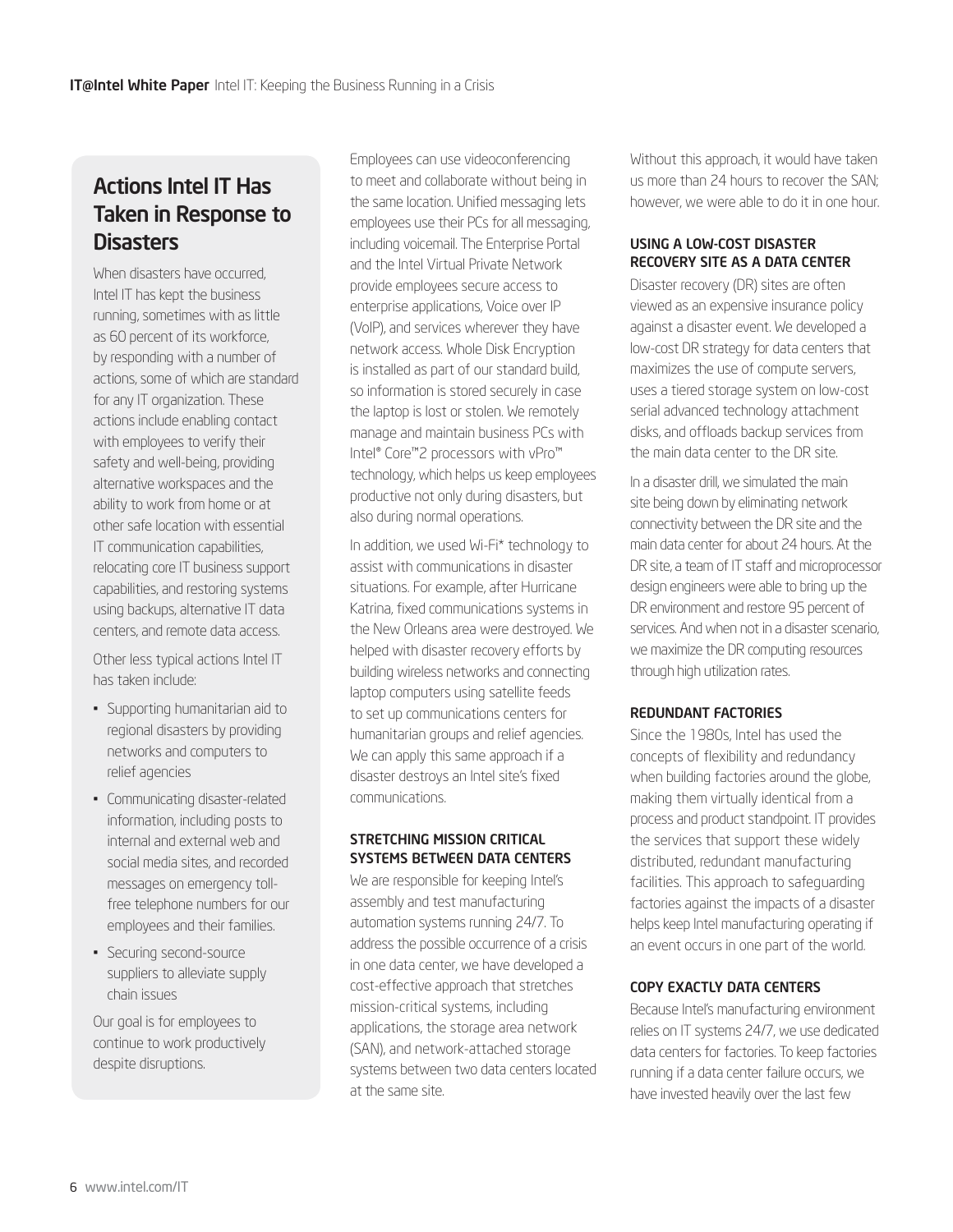# Actions Intel IT Has Taken in Response to **Disasters**

When disasters have occurred, Intel IT has kept the business running, sometimes with as little as 60 percent of its workforce, by responding with a number of actions, some of which are standard for any IT organization. These actions include enabling contact with employees to verify their safety and well-being, providing alternative workspaces and the ability to work from home or at other safe location with essential IT communication capabilities, relocating core IT business support capabilities, and restoring systems using backups, alternative IT data centers, and remote data access.

Other less typical actions Intel IT has taken include:

- • Supporting humanitarian aid to regional disasters by providing networks and computers to relief agencies
- • Communicating disaster-related information, including posts to internal and external web and social media sites, and recorded messages on emergency tollfree telephone numbers for our employees and their families.
- Securing second-source suppliers to alleviate supply chain issues

Our goal is for employees to continue to work productively despite disruptions.

Employees can use videoconferencing to meet and collaborate without being in the same location. Unified messaging lets employees use their PCs for all messaging, including voicemail. The Enterprise Portal and the Intel Virtual Private Network provide employees secure access to enterprise applications, Voice over IP (VoIP), and services wherever they have network access. Whole Disk Encryption is installed as part of our standard build, so information is stored securely in case the laptop is lost or stolen. We remotely manage and maintain business PCs with Intel® Core™2 processors with vPro™ technology, which helps us keep employees productive not only during disasters, but also during normal operations.

In addition, we used Wi-Fi\* technology to assist with communications in disaster situations. For example, after Hurricane Katrina, fixed communications systems in the New Orleans area were destroyed. We helped with disaster recovery efforts by building wireless networks and connecting laptop computers using satellite feeds to set up communications centers for humanitarian groups and relief agencies. We can apply this same approach if a disaster destroys an Intel site's fixed communications.

### STRETCHING MISSION CRITICAL SYSTEMS BETWEEN DATA CENTERS

We are responsible for keeping Intel's assembly and test manufacturing automation systems running 24/7. To address the possible occurrence of a crisis in one data center, we have developed a cost-effective approach that stretches mission-critical systems, including applications, the storage area network (SAN), and network-attached storage systems between two data centers located at the same site.

Without this approach, it would have taken us more than 24 hours to recover the SAN; however, we were able to do it in one hour.

### USING A LOW-COST DISASTER RECOVERY SITE AS A DATA CENTER

Disaster recovery (DR) sites are often viewed as an expensive insurance policy against a disaster event. We developed a low-cost DR strategy for data centers that maximizes the use of compute servers, uses a tiered storage system on low-cost serial advanced technology attachment disks, and offloads backup services from the main data center to the DR site.

In a disaster drill, we simulated the main site being down by eliminating network connectivity between the DR site and the main data center for about 24 hours. At the DR site, a team of IT staff and microprocessor design engineers were able to bring up the DR environment and restore 95 percent of services. And when not in a disaster scenario, we maximize the DR computing resources through high utilization rates.

### REDUNDANT FACTORIES

Since the 1980s, Intel has used the concepts of flexibility and redundancy when building factories around the globe, making them virtually identical from a process and product standpoint. IT provides the services that support these widely distributed, redundant manufacturing facilities. This approach to safeguarding factories against the impacts of a disaster helps keep Intel manufacturing operating if an event occurs in one part of the world.

## COPY EXACTLY DATA CENTERS

Because Intel's manufacturing environment relies on IT systems 24/7, we use dedicated data centers for factories. To keep factories running if a data center failure occurs, we have invested heavily over the last few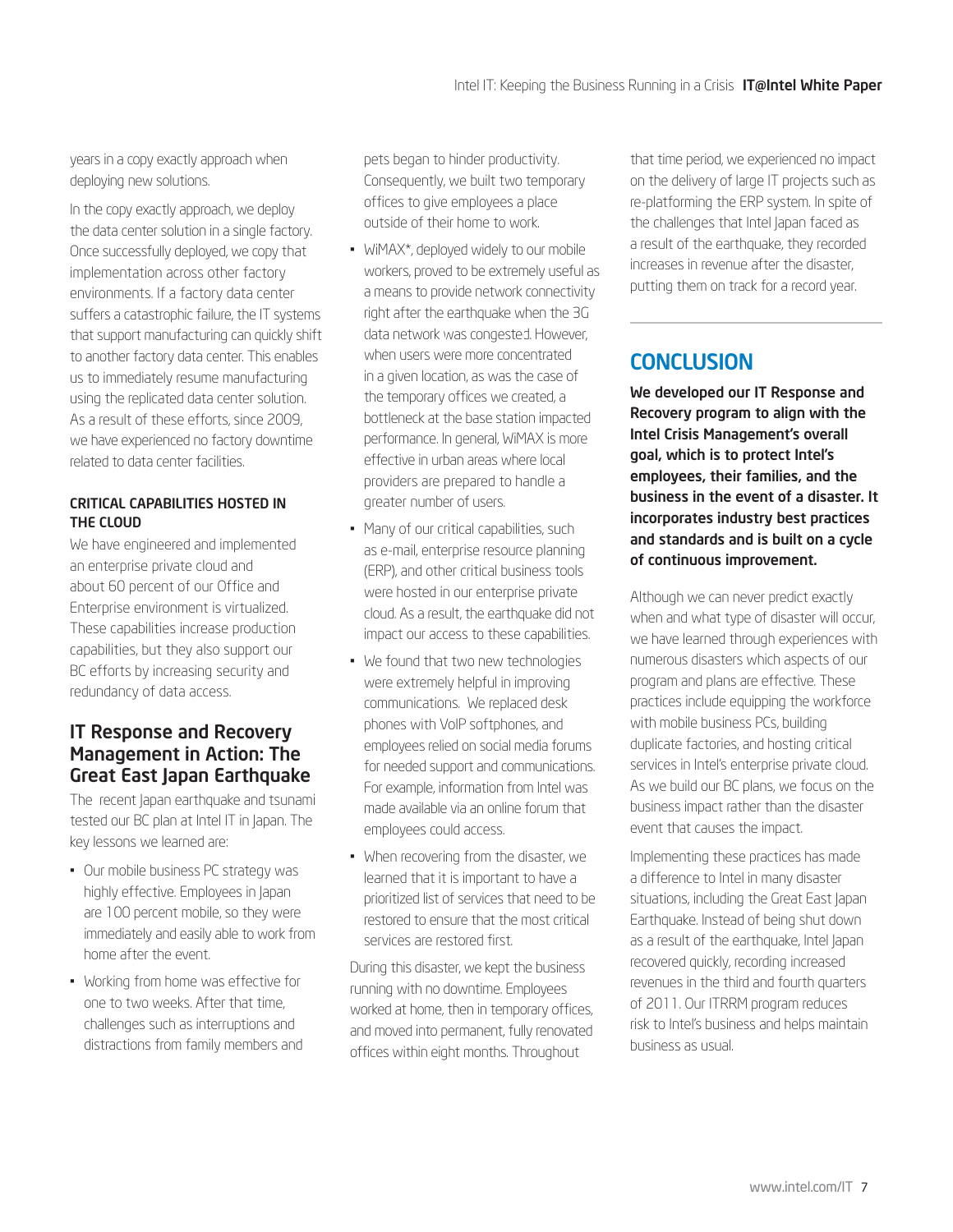<span id="page-6-0"></span>years in a copy exactly approach when deploying new solutions.

In the copy exactly approach, we deploy the data center solution in a single factory. Once successfully deployed, we copy that implementation across other factory environments. If a factory data center suffers a catastrophic failure, the IT systems that support manufacturing can quickly shift to another factory data center. This enables us to immediately resume manufacturing using the replicated data center solution. As a result of these efforts, since 2009, we have experienced no factory downtime related to data center facilities.

### CRITICAL CAPABILITIES HOSTED IN THE CLOUD

We have engineered and implemented an enterprise private cloud and about 60 percent of our Office and Enterprise environment is virtualized. These capabilities increase production capabilities, but they also support our BC efforts by increasing security and redundancy of data access.

## IT Response and Recovery Management in Action: The Great East Japan Earthquake

The recent Japan earthquake and tsunami tested our BC plan at Intel IT in Japan. The key lessons we learned are:

- Our mobile business PC strategy was highly effective. Employees in Japan are 100 percent mobile, so they were immediately and easily able to work from home after the event.
- Working from home was effective for one to two weeks. After that time, challenges such as interruptions and distractions from family members and

pets began to hinder productivity. Consequently, we built two temporary offices to give employees a place outside of their home to work.

- WiMAX\*, deployed widely to our mobile workers, proved to be extremely useful as a means to provide network connectivity right after the earthquake when the 3G data network was congested. However, when users were more concentrated in a given location, as was the case of the temporary offices we created, a bottleneck at the base station impacted performance. In general, WiMAX is more effective in urban areas where local providers are prepared to handle a greater number of users.
- Many of our critical capabilities, such as e-mail, enterprise resource planning (ERP), and other critical business tools were hosted in our enterprise private cloud. As a result, the earthquake did not impact our access to these capabilities.
- We found that two new technologies were extremely helpful in improving communications. We replaced desk phones with VoIP softphones, and employees relied on social media forums for needed support and communications. For example, information from Intel was made available via an online forum that employees could access.
- When recovering from the disaster, we learned that it is important to have a prioritized list of services that need to be restored to ensure that the most critical services are restored first.

During this disaster, we kept the business running with no downtime. Employees worked at home, then in temporary offices, and moved into permanent, fully renovated offices within eight months. Throughout

that time period, we experienced no impact on the delivery of large IT projects such as re-platforming the ERP system. In spite of the challenges that Intel Japan faced as a result of the earthquake, they recorded increases in revenue after the disaster, putting them on track for a record year.

# **CONCLUSION**

We developed our IT Response and Recovery program to align with the Intel Crisis Management's overall goal, which is to protect Intel's employees, their families, and the business in the event of a disaster. It incorporates industry best practices and standards and is built on a cycle of continuous improvement.

Although we can never predict exactly when and what type of disaster will occur, we have learned through experiences with numerous disasters which aspects of our program and plans are effective. These practices include equipping the workforce with mobile business PCs, building duplicate factories, and hosting critical services in Intel's enterprise private cloud. As we build our BC plans, we focus on the business impact rather than the disaster event that causes the impact.

Implementing these practices has made a difference to Intel in many disaster situations, including the Great East Japan Earthquake. Instead of being shut down as a result of the earthquake, Intel Japan recovered quickly, recording increased revenues in the third and fourth quarters of 2011. Our ITRRM program reduces risk to Intel's business and helps maintain business as usual.